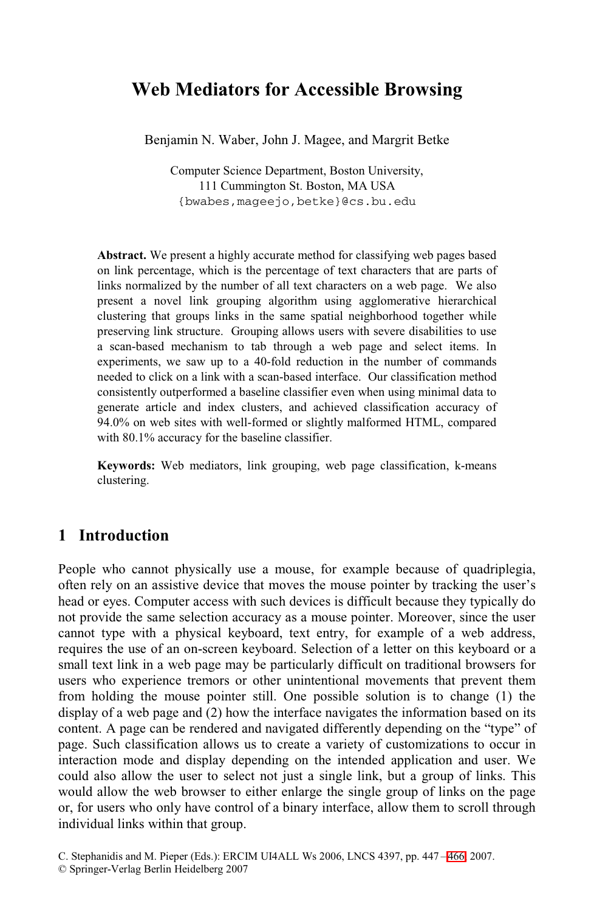# **Web Mediators for Accessible Browsing**

Benjamin N. Waber, John J. Magee, and Margrit Betke

Computer Science Department, Boston University, 111 Cummington St. Boston, MA USA {bwabes,mageejo,betke}@cs.bu.edu

**Abstract.** We present a highly accurate method for classifying web pages based on link percentage, which is the percentage of text characters that are parts of links normalized by the number of all text characters on a web page. We also present a novel link grouping algorithm using agglomerative hierarchical clustering that groups links in the same spatial neighborhood together while preserving link structure. Grouping allows users with severe disabilities to use a scan-based mechanism to tab through a web page and select items. In experiments, we saw up to a 40-fold reduction in the number of commands needed to click on a link with a scan-based interface. Our classification method consistently outperformed a baseline classifier even when using minimal data to generate article and index clusters, and achieved classification accuracy of 94.0% on web sites with well-formed or slightly malformed HTML, compared with 80.1% accuracy for the baseline classifier.

**Keywords:** Web mediators, link grouping, web page classification, k-means clustering.

## **1 Introduction**

People who cannot physically use a mouse, for example because of quadriplegia, often rely on an assistive device that moves the mouse pointer by tracking the user's head or eyes. Computer access with such devices is difficult because they typically do not provide the same selection accuracy as a mouse pointer. Moreover, since the user cannot type with a physical keyboard, text entry, for example of a web address, requires the use of an on-screen keyboard. Selection of a letter on this keyboard or a small text link in a web page may be particularly difficult on traditional browsers for users who experience tremors or other unintentional movements that prevent them from holding the mouse pointer still. One possible solution is to change (1) the display of a web page and (2) how the interface navigates the information based on its content. A page can be rendered and navigated d[iffer](#page-19-0)ently depending on the "type" of page. Such classification allows us to create a variety of customizations to occur in interaction mode and display depending on the intended application and user. We could also allow the user to select not just a single link, but a group of links. This would allow the web browser to either enlarge the single group of links on the page or, for users who only have control of a binary interface, allow them to scroll through individual links within that group.

C. Stephanidis and M. Pieper (Eds.): ERCIM UI4ALL Ws 2006, LNCS 4397, pp. 447 – 466, 2007.

<sup>©</sup> Springer-Verlag Berlin Heidelberg 2007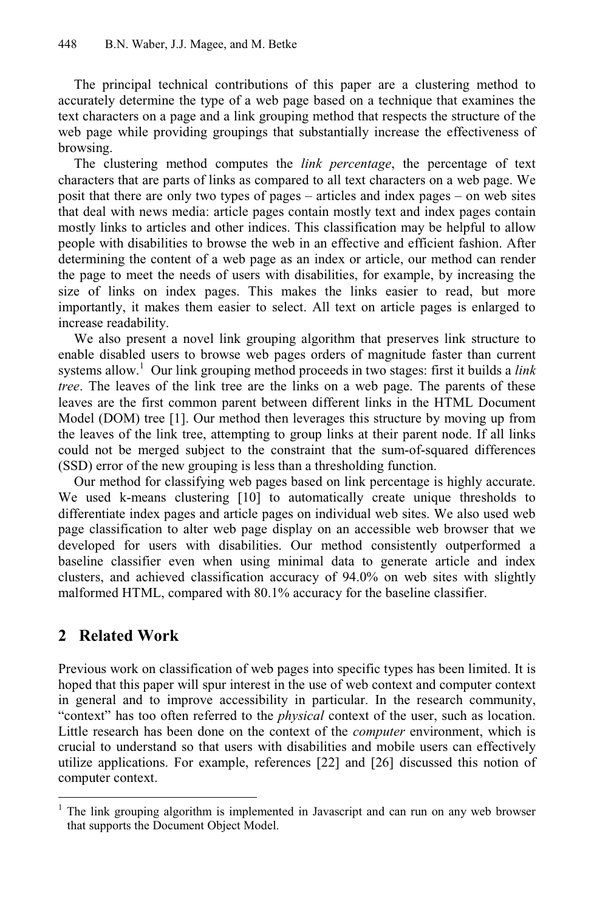The principal technical contributions of this paper are a clustering method to accurately determine the type of a web page based on a technique that examines the text characters on a page and a link grouping method that respects the structure of the web page while providing groupings that substantially increase the effectiveness of browsing.

The clustering method computes the *link percentage*, the percentage of text characters that are parts of links as compared to all text characters on a web page. We posit that there are only two types of pages – articles and index pages – on web sites that deal with news media: article pages contain mostly text and index pages contain mostly links to articles and other indices. This classification may be helpful to allow people with disabilities to browse the web in an effective and efficient fashion. After determining the content of a web page as an index or article, our method can render the page to meet the needs of users with disabilities, for example, by increasing the size of links on index pages. This makes the links easier to read, but more importantly, it makes them easier to select. All text on article pages is enlarged to increase readability.

We also present a novel link grouping algorithm that preserves link structure to enable disabled users to browse web pages orders of magnitude faster than current systems allow.<sup>1</sup> Our link grouping method proceeds in two stages: first it builds a *link tree*. The leaves of the link tree are the links on a web page. The parents of these leaves are the first common parent between different links in the HTML Document Model (DOM) tree [1]. Our method then leverages this structure by moving up from the leaves of the link tree, attempting to group links at their parent node. If all links could not be merged subject to the constraint that the sum-of-squared differences (SSD) error of the new grouping is less than a thresholding function.

Our method for classifying web pages based on link percentage is highly accurate. We used k-means clustering [10] to automatically create unique thresholds to differentiate index pages and article pages on individual web sites. We also used web page classification to alter web page display on an accessible web browser that we developed for users with disabilities. Our method consistently outperformed a baseline classifier even when using minimal data to generate article and index clusters, and achieved classification accuracy of 94.0% on web sites with slightly malformed HTML, compared with 80.1% accuracy for the baseline classifier.

# **2 Related Work**

-

Previous work on classification of web pages into specific types has been limited. It is hoped that this paper will spur interest in the use of web context and computer context in general and to improve accessibility in particular. In the research community, "context" has too often referred to the *physical* context of the user, such as location. Little research has been done on the context of the *computer* environment, which is crucial to understand so that users with disabilities and mobile users can effectively utilize applications. For example, references [22] and [26] discussed this notion of computer context.

<sup>1</sup> The link grouping algorithm is implemented in Javascript and can run on any web browser that supports the Document Object Model.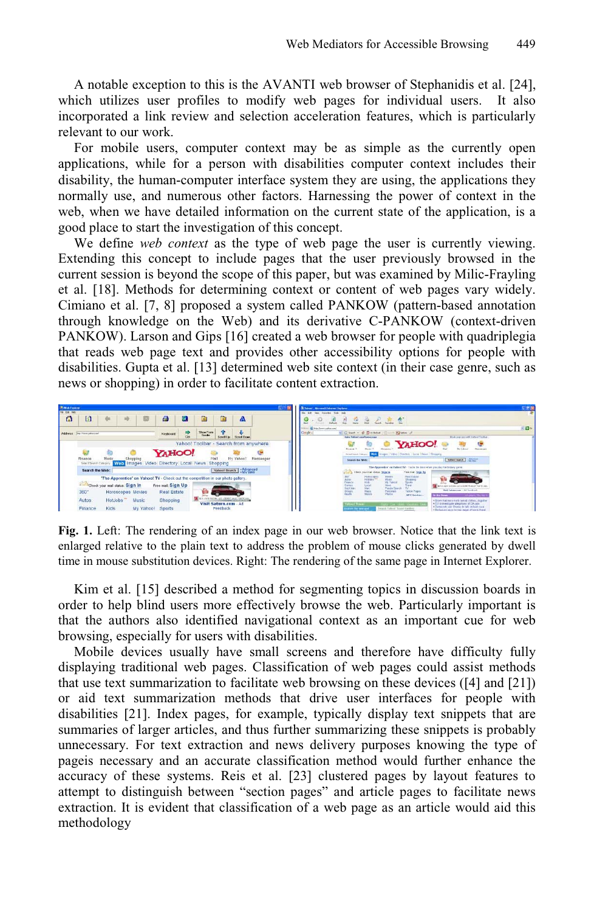A notable exception to this is the AVANTI web browser of Stephanidis et al. [24], which utilizes user profiles to modify web pages for individual users. It also incorporated a link review and selection acceleration features, which is particularly relevant to our work.

For mobile users, computer context may be as simple as the currently open applications, while for a person with disabilities computer context includes their disability, the human-computer interface system they are using, the applications they normally use, and numerous other factors. Harnessing the power of context in the web, when we have detailed information on the current state of the application, is a good place to start the investigation of this concept.

We define *web context* as the type of web page the user is currently viewing. Extending this concept to include pages that the user previously browsed in the current session is beyond the scope of this paper, but was examined by Milic-Frayling et al. [18]. Methods for determining context or content of web pages vary widely. Cimiano et al. [7, 8] proposed a system called PANKOW (pattern-based annotation through knowledge on the Web) and its derivative C-PANKOW (context-driven PANKOW). Larson and Gips [16] created a web browser for people with quadriplegia that reads web page text and provides other accessibility options for people with disabilities. Gupta et al. [13] determined web site context (in their case genre, such as news or shopping) in order to facilitate content extraction.



**Fig. 1.** Left: The rendering of an index page in our web browser. Notice that the link text is enlarged relative to the plain text to address the problem of mouse clicks generated by dwell time in mouse substitution devices. Right: The rendering of the same page in Internet Explorer.

Kim et al. [15] described a method for segmenting topics in discussion boards in order to help blind users more effectively browse the web. Particularly important is that the authors also identified navigational context as an important cue for web browsing, especially for users with disabilities.

Mobile devices usually have small screens and therefore have difficulty fully displaying traditional web pages. Classification of web pages could assist methods that use text summarization to facilitate web browsing on these devices ([4] and [21]) or aid text summarization methods that drive user interfaces for people with disabilities [21]. Index pages, for example, typically display text snippets that are summaries of larger articles, and thus further summarizing these snippets is probably unnecessary. For text extraction and news delivery purposes knowing the type of pageis necessary and an accurate classification method would further enhance the accuracy of these systems. Reis et al. [23] clustered pages by layout features to attempt to distinguish between "section pages" and article pages to facilitate news extraction. It is evident that classification of a web page as an article would aid this methodology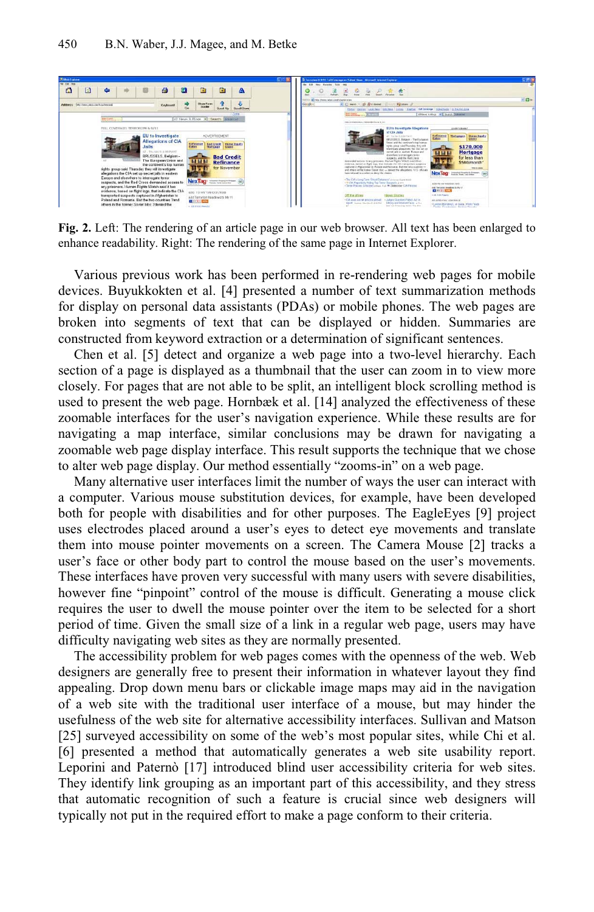

**Fig. 2.** Left: The rendering of an article page in our web browser. All text has been enlarged to enhance readability. Right: The rendering of the same page in Internet Explorer.

Various previous work has been performed in re-rendering web pages for mobile devices. Buyukkokten et al. [4] presented a number of text summarization methods for display on personal data assistants (PDAs) or mobile phones. The web pages are broken into segments of text that can be displayed or hidden. Summaries are constructed from keyword extraction or a determination of significant sentences.

Chen et al. [5] detect and organize a web page into a two-level hierarchy. Each section of a page is displayed as a thumbnail that the user can zoom in to view more closely. For pages that are not able to be split, an intelligent block scrolling method is used to present the web page. Hornbæk et al. [14] analyzed the effectiveness of these zoomable interfaces for the user's navigation experience. While these results are for navigating a map interface, similar conclusions may be drawn for navigating a zoomable web page display interface. This result supports the technique that we chose to alter web page display. Our method essentially "zooms-in" on a web page.

Many alternative user interfaces limit the number of ways the user can interact with a computer. Various mouse substitution devices, for example, have been developed both for people with disabilities and for other purposes. The EagleEyes [9] project uses electrodes placed around a user's eyes to detect eye movements and translate them into mouse pointer movements on a screen. The Camera Mouse [2] tracks a user's face or other body part to control the mouse based on the user's movements. These interfaces have proven very successful with many users with severe disabilities, however fine "pinpoint" control of the mouse is difficult. Generating a mouse click requires the user to dwell the mouse pointer over the item to be selected for a short period of time. Given the small size of a link in a regular web page, users may have difficulty navigating web sites as they are normally presented.

The accessibility problem for web pages comes with the openness of the web. Web designers are generally free to present their information in whatever layout they find appealing. Drop down menu bars or clickable image maps may aid in the navigation of a web site with the traditional user interface of a mouse, but may hinder the usefulness of the web site for alternative accessibility interfaces. Sullivan and Matson [25] surveyed accessibility on some of the web's most popular sites, while Chi et al. [6] presented a method that automatically generates a web site usability report. Leporini and Paternò [17] introduced blind user accessibility criteria for web sites. They identify link grouping as an important part of this accessibility, and they stress that automatic recognition of such a feature is crucial since web designers will typically not put in the required effort to make a page conform to their criteria.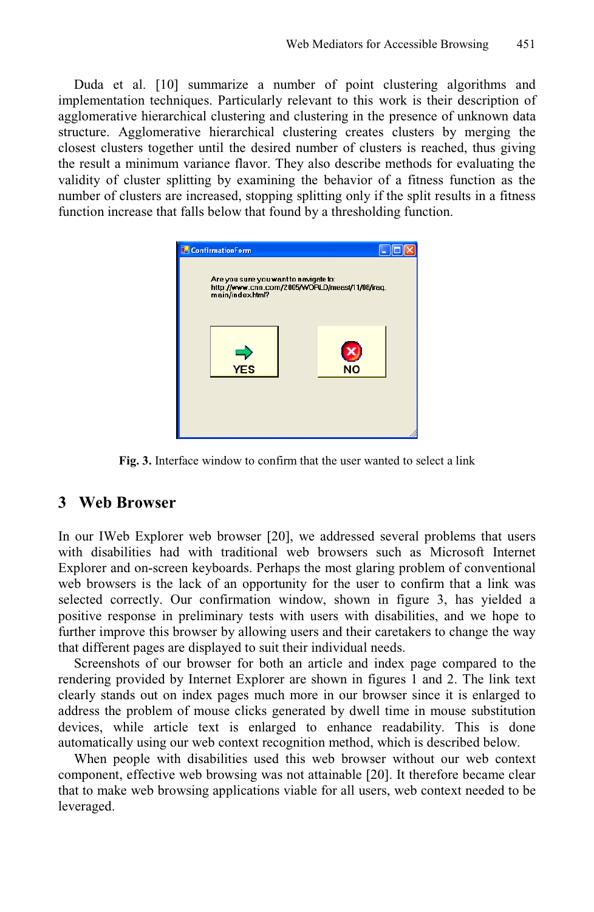Duda et al. [10] summarize a number of point clustering algorithms and implementation techniques. Particularly relevant to this work is their description of agglomerative hierarchical clustering and clustering in the presence of unknown data structure. Agglomerative hierarchical clustering creates clusters by merging the closest clusters together until the desired number of clusters is reached, thus giving the result a minimum variance flavor. They also describe methods for evaluating the validity of cluster splitting by examining the behavior of a fitness function as the number of clusters are increased, stopping splitting only if the split results in a fitness function increase that falls below that found by a thresholding function.



**Fig. 3.** Interface window to confirm that the user wanted to select a link

## **3 Web Browser**

In our IWeb Explorer web browser [20], we addressed several problems that users with disabilities had with traditional web browsers such as Microsoft Internet Explorer and on-screen keyboards. Perhaps the most glaring problem of conventional web browsers is the lack of an opportunity for the user to confirm that a link was selected correctly. Our confirmation window, shown in figure 3, has yielded a positive response in preliminary tests with users with disabilities, and we hope to further improve this browser by allowing users and their caretakers to change the way that different pages are displayed to suit their individual needs.

Screenshots of our browser for both an article and index page compared to the rendering provided by Internet Explorer are shown in figures 1 and 2. The link text clearly stands out on index pages much more in our browser since it is enlarged to address the problem of mouse clicks generated by dwell time in mouse substitution devices, while article text is enlarged to enhance readability. This is done automatically using our web context recognition method, which is described below.

When people with disabilities used this web browser without our web context component, effective web browsing was not attainable [20]. It therefore became clear that to make web browsing applications viable for all users, web context needed to be leveraged.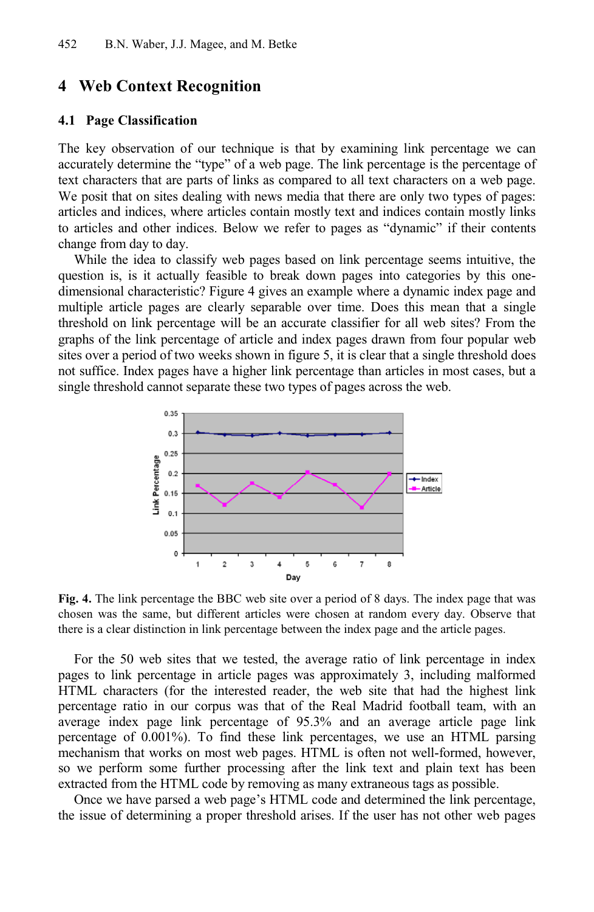## **4 Web Context Recognition**

#### **4.1 Page Classification**

The key observation of our technique is that by examining link percentage we can accurately determine the "type" of a web page. The link percentage is the percentage of text characters that are parts of links as compared to all text characters on a web page. We posit that on sites dealing with news media that there are only two types of pages: articles and indices, where articles contain mostly text and indices contain mostly links to articles and other indices. Below we refer to pages as "dynamic" if their contents change from day to day.

While the idea to classify web pages based on link percentage seems intuitive, the question is, is it actually feasible to break down pages into categories by this onedimensional characteristic? Figure 4 gives an example where a dynamic index page and multiple article pages are clearly separable over time. Does this mean that a single threshold on link percentage will be an accurate classifier for all web sites? From the graphs of the link percentage of article and index pages drawn from four popular web sites over a period of two weeks shown in figure 5, it is clear that a single threshold does not suffice. Index pages have a higher link percentage than articles in most cases, but a single threshold cannot separate these two types of pages across the web.



**Fig. 4.** The link percentage the BBC web site over a period of 8 days. The index page that was chosen was the same, but different articles were chosen at random every day. Observe that there is a clear distinction in link percentage between the index page and the article pages.

For the 50 web sites that we tested, the average ratio of link percentage in index pages to link percentage in article pages was approximately 3, including malformed HTML characters (for the interested reader, the web site that had the highest link percentage ratio in our corpus was that of the Real Madrid football team, with an average index page link percentage of 95.3% and an average article page link percentage of 0.001%). To find these link percentages, we use an HTML parsing mechanism that works on most web pages. HTML is often not well-formed, however, so we perform some further processing after the link text and plain text has been extracted from the HTML code by removing as many extraneous tags as possible.

Once we have parsed a web page's HTML code and determined the link percentage, the issue of determining a proper threshold arises. If the user has not other web pages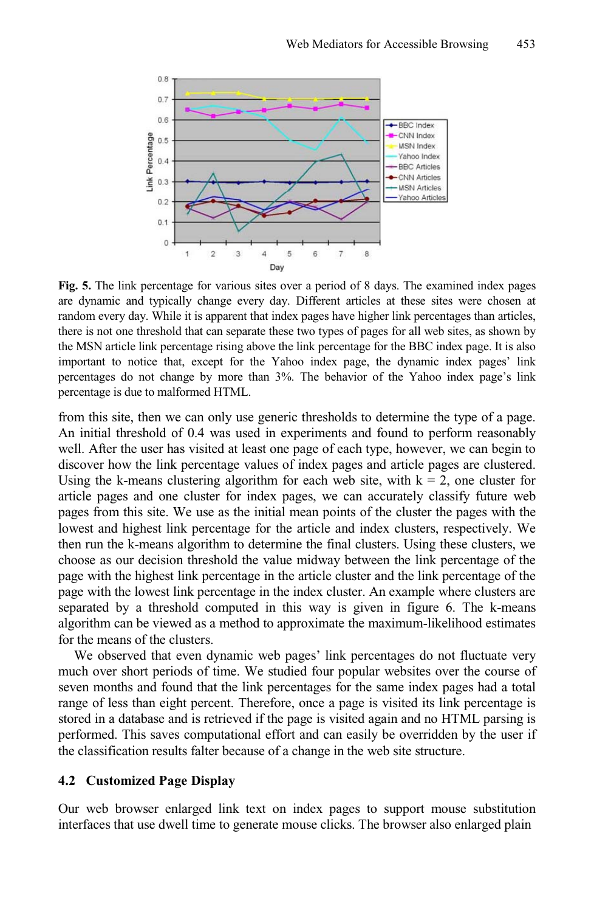

**Fig. 5.** The link percentage for various sites over a period of 8 days. The examined index pages are dynamic and typically change every day. Different articles at these sites were chosen at random every day. While it is apparent that index pages have higher link percentages than articles, there is not one threshold that can separate these two types of pages for all web sites, as shown by the MSN article link percentage rising above the link percentage for the BBC index page. It is also important to notice that, except for the Yahoo index page, the dynamic index pages' link percentages do not change by more than 3%. The behavior of the Yahoo index page's link percentage is due to malformed HTML.

from this site, then we can only use generic thresholds to determine the type of a page. An initial threshold of 0.4 was used in experiments and found to perform reasonably well. After the user has visited at least one page of each type, however, we can begin to discover how the link percentage values of index pages and article pages are clustered. Using the k-means clustering algorithm for each web site, with  $k = 2$ , one cluster for article pages and one cluster for index pages, we can accurately classify future web pages from this site. We use as the initial mean points of the cluster the pages with the lowest and highest link percentage for the article and index clusters, respectively. We then run the k-means algorithm to determine the final clusters. Using these clusters, we choose as our decision threshold the value midway between the link percentage of the page with the highest link percentage in the article cluster and the link percentage of the page with the lowest link percentage in the index cluster. An example where clusters are separated by a threshold computed in this way is given in figure 6. The k-means algorithm can be viewed as a method to approximate the maximum-likelihood estimates for the means of the clusters.

We observed that even dynamic web pages' link percentages do not fluctuate very much over short periods of time. We studied four popular websites over the course of seven months and found that the link percentages for the same index pages had a total range of less than eight percent. Therefore, once a page is visited its link percentage is stored in a database and is retrieved if the page is visited again and no HTML parsing is performed. This saves computational effort and can easily be overridden by the user if the classification results falter because of a change in the web site structure.

#### **4.2 Customized Page Display**

Our web browser enlarged link text on index pages to support mouse substitution interfaces that use dwell time to generate mouse clicks. The browser also enlarged plain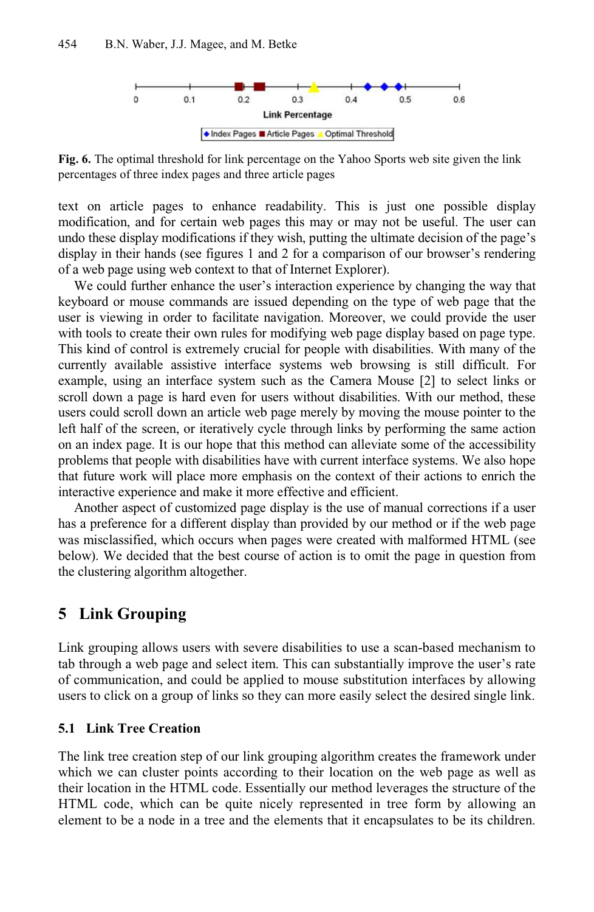

**Fig. 6.** The optimal threshold for link percentage on the Yahoo Sports web site given the link percentages of three index pages and three article pages

text on article pages to enhance readability. This is just one possible display modification, and for certain web pages this may or may not be useful. The user can undo these display modifications if they wish, putting the ultimate decision of the page's display in their hands (see figures 1 and 2 for a comparison of our browser's rendering of a web page using web context to that of Internet Explorer).

We could further enhance the user's interaction experience by changing the way that keyboard or mouse commands are issued depending on the type of web page that the user is viewing in order to facilitate navigation. Moreover, we could provide the user with tools to create their own rules for modifying web page display based on page type. This kind of control is extremely crucial for people with disabilities. With many of the currently available assistive interface systems web browsing is still difficult. For example, using an interface system such as the Camera Mouse [2] to select links or scroll down a page is hard even for users without disabilities. With our method, these users could scroll down an article web page merely by moving the mouse pointer to the left half of the screen, or iteratively cycle through links by performing the same action on an index page. It is our hope that this method can alleviate some of the accessibility problems that people with disabilities have with current interface systems. We also hope that future work will place more emphasis on the context of their actions to enrich the interactive experience and make it more effective and efficient.

Another aspect of customized page display is the use of manual corrections if a user has a preference for a different display than provided by our method or if the web page was misclassified, which occurs when pages were created with malformed HTML (see below). We decided that the best course of action is to omit the page in question from the clustering algorithm altogether.

# **5 Link Grouping**

Link grouping allows users with severe disabilities to use a scan-based mechanism to tab through a web page and select item. This can substantially improve the user's rate of communication, and could be applied to mouse substitution interfaces by allowing users to click on a group of links so they can more easily select the desired single link.

### **5.1 Link Tree Creation**

The link tree creation step of our link grouping algorithm creates the framework under which we can cluster points according to their location on the web page as well as their location in the HTML code. Essentially our method leverages the structure of the HTML code, which can be quite nicely represented in tree form by allowing an element to be a node in a tree and the elements that it encapsulates to be its children.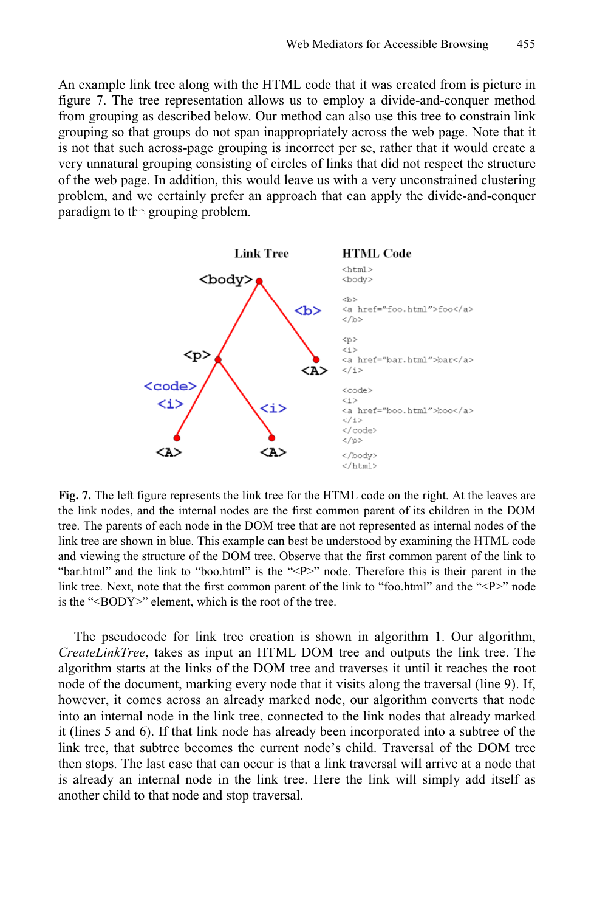An example link tree along with the HTML code that it was created from is picture in figure 7. The tree representation allows us to employ a divide-and-conquer method from grouping as described below. Our method can also use this tree to constrain link grouping so that groups do not span inappropriately across the web page. Note that it is not that such across-page grouping is incorrect per se, rather that it would create a very unnatural grouping consisting of circles of links that did not respect the structure of the web page. In addition, this would leave us with a very unconstrained clustering problem, and we certainly prefer an approach that can apply the divide-and-conquer paradigm to the grouping problem.



**Fig. 7.** The left figure represents the link tree for the HTML code on the right. At the leaves are the link nodes, and the internal nodes are the first common parent of its children in the DOM tree. The parents of each node in the DOM tree that are not represented as internal nodes of the link tree are shown in blue. This example can best be understood by examining the HTML code and viewing the structure of the DOM tree. Observe that the first common parent of the link to "bar.html" and the link to "boo.html" is the "<P>" node. Therefore this is their parent in the link tree. Next, note that the first common parent of the link to "foo.html" and the "<P>" node is the "<BODY>" element, which is the root of the tree.

The pseudocode for link tree creation is shown in algorithm 1. Our algorithm, *CreateLinkTree*, takes as input an HTML DOM tree and outputs the link tree. The algorithm starts at the links of the DOM tree and traverses it until it reaches the root node of the document, marking every node that it visits along the traversal (line 9). If, however, it comes across an already marked node, our algorithm converts that node into an internal node in the link tree, connected to the link nodes that already marked it (lines 5 and 6). If that link node has already been incorporated into a subtree of the link tree, that subtree becomes the current node's child. Traversal of the DOM tree then stops. The last case that can occur is that a link traversal will arrive at a node that is already an internal node in the link tree. Here the link will simply add itself as another child to that node and stop traversal.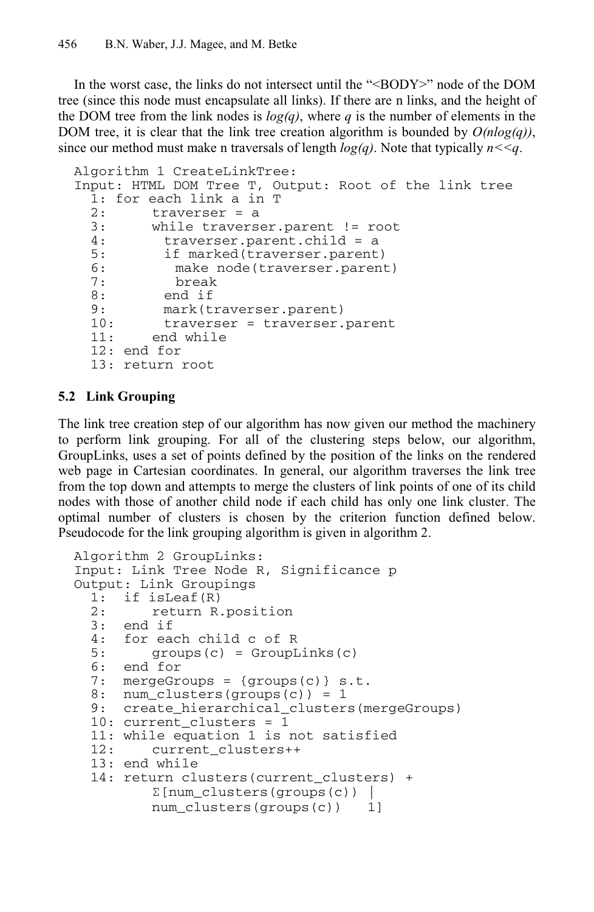In the worst case, the links do not intersect until the "<BODY>" node of the DOM tree (since this node must encapsulate all links). If there are n links, and the height of the DOM tree from the link nodes is  $log(q)$ , where q is the number of elements in the DOM tree, it is clear that the link tree creation algorithm is bounded by *O(nlog(q))*, since our method must make n traversals of length  $log(q)$ . Note that typically  $n \leq q$ .

```
Algorithm 1 CreateLinkTree: 
Input: HTML DOM Tree T, Output: Root of the link tree 
  1: for each link a in T<br>2: traverser = a
         traverser = a
   3: while traverser.parent != root 
   4: traverser.parent.child = a 
   5: if marked(traverser.parent) 
   6: make node(traverser.parent) 
   7: break 
   8: end if 
   9: mark(traverser.parent) 
   10: traverser = traverser.parent 
   11: end while 
   12: end for 
   13: return root
```
## **5.2 Link Grouping**

The link tree creation step of our algorithm has now given our method the machinery to perform link grouping. For all of the clustering steps below, our algorithm, GroupLinks, uses a set of points defined by the position of the links on the rendered web page in Cartesian coordinates. In general, our algorithm traverses the link tree from the top down and attempts to merge the clusters of link points of one of its child nodes with those of another child node if each child has only one link cluster. The optimal number of clusters is chosen by the criterion function defined below. Pseudocode for the link grouping algorithm is given in algorithm 2.

```
Algorithm 2 GroupLinks: 
Input: Link Tree Node R, Significance p 
Output: Link Groupings 
  1: if isLeaf(R)<br>2: return R.
           2: return R.position 
   3: end if 
   4: for each child c of R 
   5: groups(c) = GroupLinks(c) 
   6: end for 
   7: mergeGroups = {groups(c)} s.t. 
   8: num_clusters(groups(c)) = 1 
  9: create hierarchical clusters(mergeGroups)
   10: current_clusters = 1 
   11: while equation 1 is not satisfied 
   12: current_clusters++ 
   13: end while 
   14: return clusters(current_clusters) + 
          Σ[num_clusters(groups(c)) | 
          num clusters(groups(c)) 1]
```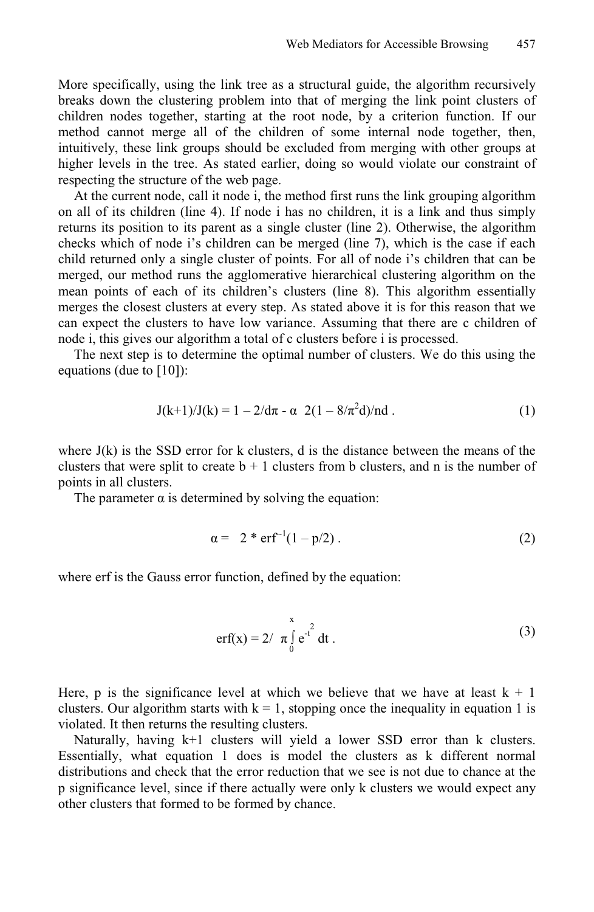More specifically, using the link tree as a structural guide, the algorithm recursively breaks down the clustering problem into that of merging the link point clusters of children nodes together, starting at the root node, by a criterion function. If our method cannot merge all of the children of some internal node together, then, intuitively, these link groups should be excluded from merging with other groups at higher levels in the tree. As stated earlier, doing so would violate our constraint of respecting the structure of the web page.

At the current node, call it node i, the method first runs the link grouping algorithm on all of its children (line 4). If node i has no children, it is a link and thus simply returns its position to its parent as a single cluster (line 2). Otherwise, the algorithm checks which of node i's children can be merged (line 7), which is the case if each child returned only a single cluster of points. For all of node i's children that can be merged, our method runs the agglomerative hierarchical clustering algorithm on the mean points of each of its children's clusters (line 8). This algorithm essentially merges the closest clusters at every step. As stated above it is for this reason that we can expect the clusters to have low variance. Assuming that there are c children of node i, this gives our algorithm a total of c clusters before i is processed.

The next step is to determine the optimal number of clusters. We do this using the equations (due to [10]):

$$
J(k+1)/J(k) = 1 - 2/d\pi - \alpha \ 2(1 - 8/\pi^2 d)/nd \ . \tag{1}
$$

where  $J(k)$  is the SSD error for k clusters, d is the distance between the means of the clusters that were split to create  $b + 1$  clusters from b clusters, and n is the number of points in all clusters.

The parameter  $\alpha$  is determined by solving the equation:

$$
\alpha = 2 * erf^{-1}(1 - p/2). \tag{2}
$$

where erf is the Gauss error function, defined by the equation:

$$
\text{erf}(x) = 2/\pi \int_{0}^{x} e^{-t^{2}} dt.
$$
 (3)

Here, p is the significance level at which we believe that we have at least  $k + 1$ clusters. Our algorithm starts with  $k = 1$ , stopping once the inequality in equation 1 is violated. It then returns the resulting clusters.

Naturally, having k+1 clusters will yield a lower SSD error than k clusters. Essentially, what equation 1 does is model the clusters as k different normal distributions and check that the error reduction that we see is not due to chance at the p significance level, since if there actually were only k clusters we would expect any other clusters that formed to be formed by chance.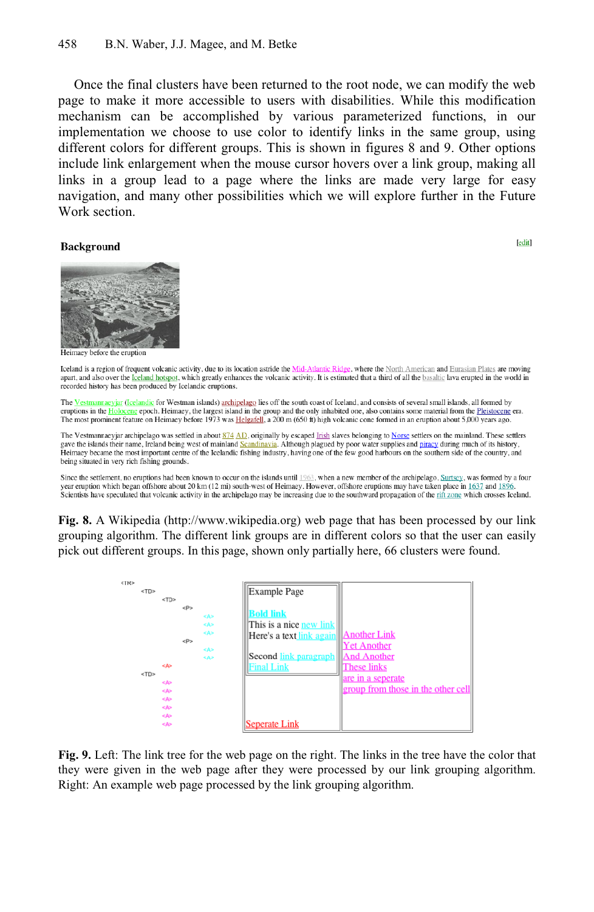Once the final clusters have been returned to the root node, we can modify the web page to make it more accessible to users with disabilities. While this modification mechanism can be accomplished by various parameterized functions, in our implementation we choose to use color to identify links in the same group, using different colors for different groups. This is shown in figures 8 and 9. Other options include link enlargement when the mouse cursor hovers over a link group, making all links in a group lead to a page where the links are made very large for easy navigation, and many other possibilities which we will explore further in the Future Work section.

#### **Background**

leditl



Heimaey before the eruption

Iceland is a region of frequent volcanic activity, due to its location astride the Mid-Atlantic Ridge, where the North American and Eurasian Plates are moving apart, and also over the Iceland hotspot, which greatly enhances the volcanic activity. It is estimated that a third of all the basaltic lava erupted in the world in recorded history has been produced by Icelandic eruptions.

innaeviar (Icelandic for Westman islands) archipelago lies off the south coast of Iceland, and consists of several small islands, all formed by The Vesti eruptions in the Holocene epoch. Heimaey, the largest island in the group and the only inhabited one, also contains some material from the Pleistocene era. The most prominent feature on Heimaey before 1973 was Helgafell, a 200 m (650 ft) high volcanic cone formed in an eruption about 5,000 years ago.

The Vestmannaeyjar archipelago was settled in about  $874$  AD, originally by escaped Irish slaves belonging to Norse settlers on the mainland. These settlers gave the islands their name, Ireland being west of mainland Scandinavia. Although plagued by poor water supplies and piracy during much of its history, Heimaey became the most important centre of the Icelandic fishing industry, having one of the few good harbours on the southern side of the country, and being situated in very rich fishing grounds.

Since the settlement, no eruptions had been known to occur on the islands until 1963, when a new member of the archipelago, Surtsey, was formed by a four year eruption which began offshore about 20 km (12 mi) south-west of Heimaey. However, offshore eruptions may have taken place in 1637 and 189 Scientists have speculated that volcanic activity in the archipelago may be increasing due to the southward propagation of the rift zone which crosses Iceland.

**Fig. 8.** A Wikipedia (http://www.wikipedia.org) web page that has been processed by our link grouping algorithm. The different link groups are in different colors so that the user can easily pick out different groups. In this page, shown only partially here, 66 clusters were found.



**Fig. 9.** Left: The link tree for the web page on the right. The links in the tree have the color that they were given in the web page after they were processed by our link grouping algorithm. Right: An example web page processed by the link grouping algorithm.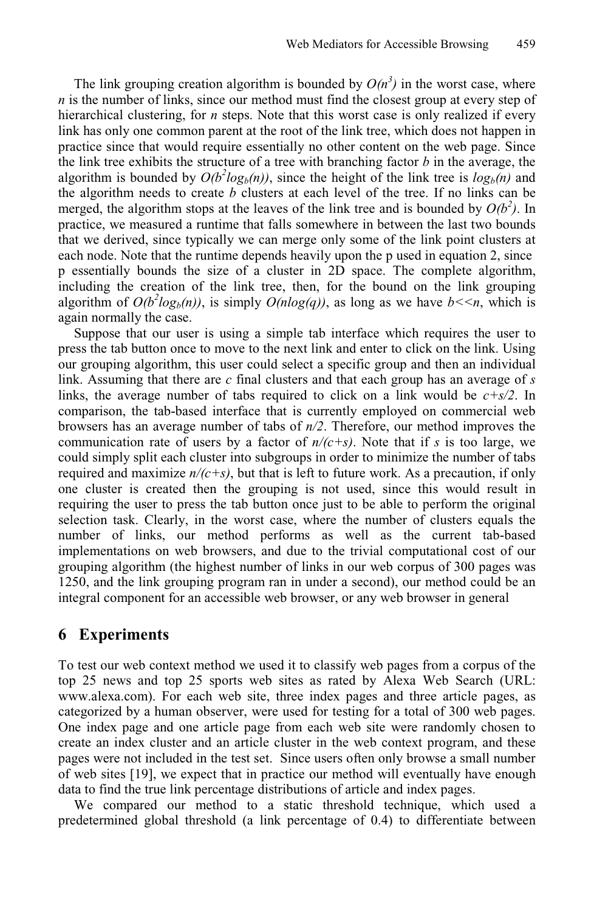The link grouping creation algorithm is bounded by  $O(n^3)$  in the worst case, where *n* is the number of links, since our method must find the closest group at every step of hierarchical clustering, for *n* steps. Note that this worst case is only realized if every link has only one common parent at the root of the link tree, which does not happen in practice since that would require essentially no other content on the web page. Since the link tree exhibits the structure of a tree with branching factor *b* in the average, the algorithm is bounded by  $O(b^2 \log_b(n))$ , since the height of the link tree is  $\log_b(n)$  and the algorithm needs to create *b* clusters at each level of the tree. If no links can be merged, the algorithm stops at the leaves of the link tree and is bounded by  $O(b^2)$ . In practice, we measured a runtime that falls somewhere in between the last two bounds that we derived, since typically we can merge only some of the link point clusters at each node. Note that the runtime depends heavily upon the p used in equation 2, since p essentially bounds the size of a cluster in 2D space. The complete algorithm, including the creation of the link tree, then, for the bound on the link grouping algorithm of  $O(b^2 log_b(n))$ , is simply  $O(nlog(q))$ , as long as we have  $b \lt \lt n$ , which is again normally the case.

Suppose that our user is using a simple tab interface which requires the user to press the tab button once to move to the next link and enter to click on the link. Using our grouping algorithm, this user could select a specific group and then an individual link. Assuming that there are *c* final clusters and that each group has an average of *s* links, the average number of tabs required to click on a link would be *c+s/2*. In comparison, the tab-based interface that is currently employed on commercial web browsers has an average number of tabs of *n/2*. Therefore, our method improves the communication rate of users by a factor of  $n/(c+s)$ . Note that if *s* is too large, we could simply split each cluster into subgroups in order to minimize the number of tabs required and maximize  $n/(c+s)$ , but that is left to future work. As a precaution, if only one cluster is created then the grouping is not used, since this would result in requiring the user to press the tab button once just to be able to perform the original selection task. Clearly, in the worst case, where the number of clusters equals the number of links, our method performs as well as the current tab-based implementations on web browsers, and due to the trivial computational cost of our grouping algorithm (the highest number of links in our web corpus of 300 pages was 1250, and the link grouping program ran in under a second), our method could be an integral component for an accessible web browser, or any web browser in general

## **6 Experiments**

To test our web context method we used it to classify web pages from a corpus of the top 25 news and top 25 sports web sites as rated by Alexa Web Search (URL: www.alexa.com). For each web site, three index pages and three article pages, as categorized by a human observer, were used for testing for a total of 300 web pages. One index page and one article page from each web site were randomly chosen to create an index cluster and an article cluster in the web context program, and these pages were not included in the test set. Since users often only browse a small number of web sites [19], we expect that in practice our method will eventually have enough data to find the true link percentage distributions of article and index pages.

We compared our method to a static threshold technique, which used a predetermined global threshold (a link percentage of 0.4) to differentiate between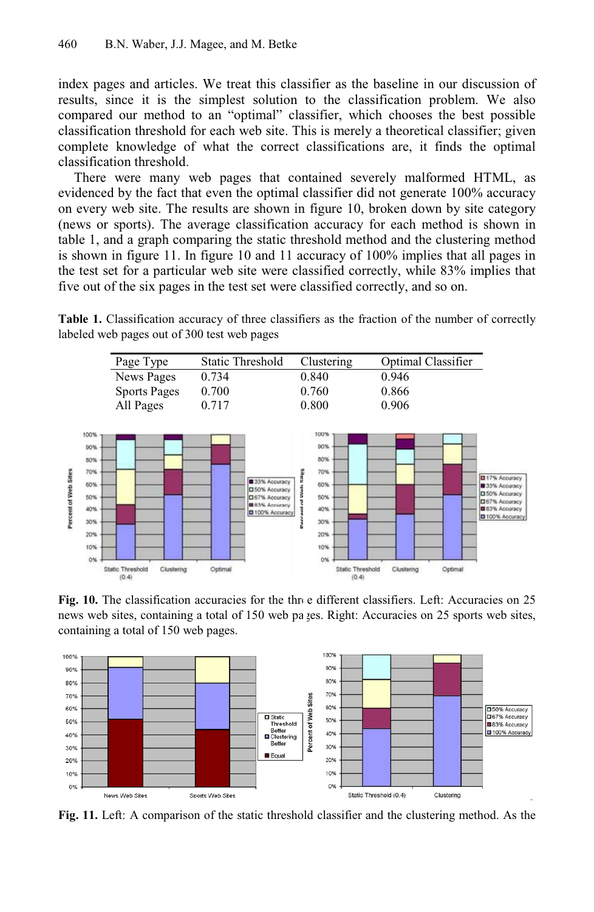index pages and articles. We treat this classifier as the baseline in our discussion of results, since it is the simplest solution to the classification problem. We also compared our method to an "optimal" classifier, which chooses the best possible classification threshold for each web site. This is merely a theoretical classifier; given complete knowledge of what the correct classifications are, it finds the optimal classification threshold.

There were many web pages that contained severely malformed HTML, as evidenced by the fact that even the optimal classifier did not generate 100% accuracy on every web site. The results are shown in figure 10, broken down by site category (news or sports). The average classification accuracy for each method is shown in table 1, and a graph comparing the static threshold method and the clustering method is shown in figure 11. In figure 10 and 11 accuracy of 100% implies that all pages in the test set for a particular web site were classified correctly, while 83% implies that five out of the six pages in the test set were classified correctly, and so on.





Fig. 10. The classification accuracies for the three different classifiers. Left: Accuracies on 25 news web sites, containing a total of 150 web pages. Right: Accuracies on 25 sports web sites, containing a total of 150 web pages.



**Fig. 11.** Left: A comparison of the static threshold classifier and the clustering method. As the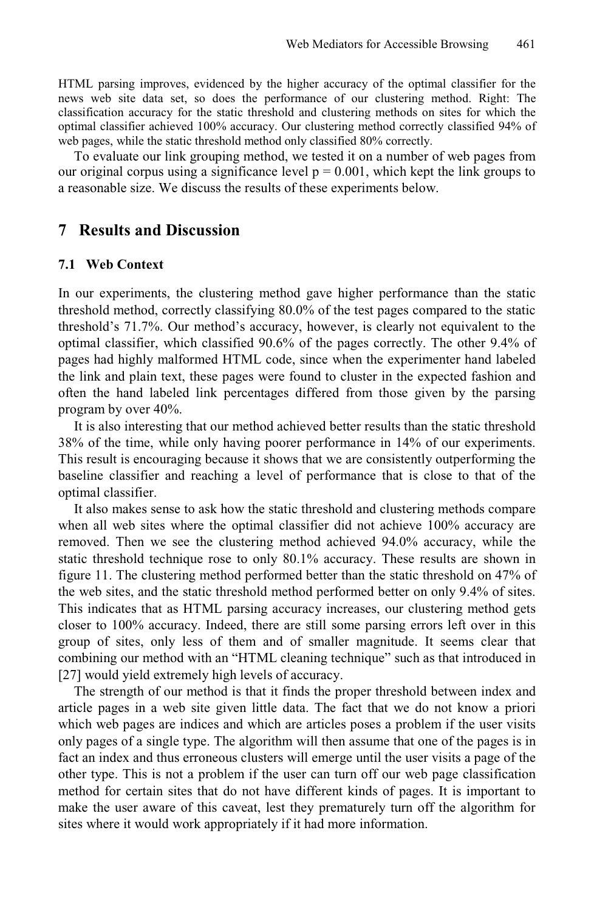HTML parsing improves, evidenced by the higher accuracy of the optimal classifier for the news web site data set, so does the performance of our clustering method. Right: The classification accuracy for the static threshold and clustering methods on sites for which the optimal classifier achieved 100% accuracy. Our clustering method correctly classified 94% of web pages, while the static threshold method only classified 80% correctly.

To evaluate our link grouping method, we tested it on a number of web pages from our original corpus using a significance level  $p = 0.001$ , which kept the link groups to a reasonable size. We discuss the results of these experiments below.

### **7 Results and Discussion**

#### **7.1 Web Context**

In our experiments, the clustering method gave higher performance than the static threshold method, correctly classifying 80.0% of the test pages compared to the static threshold's 71.7%. Our method's accuracy, however, is clearly not equivalent to the optimal classifier, which classified 90.6% of the pages correctly. The other 9.4% of pages had highly malformed HTML code, since when the experimenter hand labeled the link and plain text, these pages were found to cluster in the expected fashion and often the hand labeled link percentages differed from those given by the parsing program by over 40%.

It is also interesting that our method achieved better results than the static threshold 38% of the time, while only having poorer performance in 14% of our experiments. This result is encouraging because it shows that we are consistently outperforming the baseline classifier and reaching a level of performance that is close to that of the optimal classifier.

It also makes sense to ask how the static threshold and clustering methods compare when all web sites where the optimal classifier did not achieve 100% accuracy are removed. Then we see the clustering method achieved 94.0% accuracy, while the static threshold technique rose to only 80.1% accuracy. These results are shown in figure 11. The clustering method performed better than the static threshold on 47% of the web sites, and the static threshold method performed better on only 9.4% of sites. This indicates that as HTML parsing accuracy increases, our clustering method gets closer to 100% accuracy. Indeed, there are still some parsing errors left over in this group of sites, only less of them and of smaller magnitude. It seems clear that combining our method with an "HTML cleaning technique" such as that introduced in [27] would yield extremely high levels of accuracy.

The strength of our method is that it finds the proper threshold between index and article pages in a web site given little data. The fact that we do not know a priori which web pages are indices and which are articles poses a problem if the user visits only pages of a single type. The algorithm will then assume that one of the pages is in fact an index and thus erroneous clusters will emerge until the user visits a page of the other type. This is not a problem if the user can turn off our web page classification method for certain sites that do not have different kinds of pages. It is important to make the user aware of this caveat, lest they prematurely turn off the algorithm for sites where it would work appropriately if it had more information.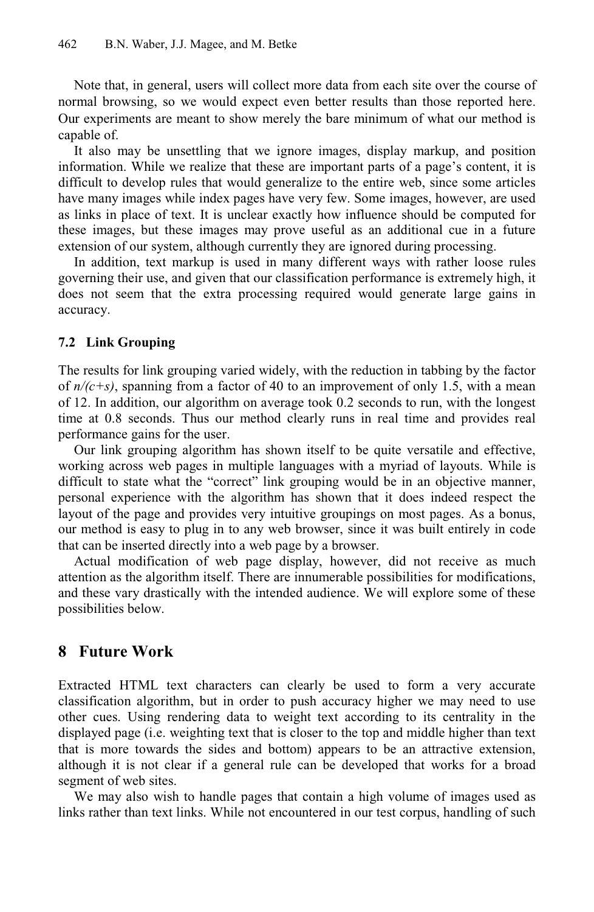Note that, in general, users will collect more data from each site over the course of normal browsing, so we would expect even better results than those reported here. Our experiments are meant to show merely the bare minimum of what our method is capable of.

It also may be unsettling that we ignore images, display markup, and position information. While we realize that these are important parts of a page's content, it is difficult to develop rules that would generalize to the entire web, since some articles have many images while index pages have very few. Some images, however, are used as links in place of text. It is unclear exactly how influence should be computed for these images, but these images may prove useful as an additional cue in a future extension of our system, although currently they are ignored during processing.

In addition, text markup is used in many different ways with rather loose rules governing their use, and given that our classification performance is extremely high, it does not seem that the extra processing required would generate large gains in accuracy.

### **7.2 Link Grouping**

The results for link grouping varied widely, with the reduction in tabbing by the factor of  $n/(c+s)$ , spanning from a factor of 40 to an improvement of only 1.5, with a mean of 12. In addition, our algorithm on average took 0.2 seconds to run, with the longest time at 0.8 seconds. Thus our method clearly runs in real time and provides real performance gains for the user.

Our link grouping algorithm has shown itself to be quite versatile and effective, working across web pages in multiple languages with a myriad of layouts. While is difficult to state what the "correct" link grouping would be in an objective manner, personal experience with the algorithm has shown that it does indeed respect the layout of the page and provides very intuitive groupings on most pages. As a bonus, our method is easy to plug in to any web browser, since it was built entirely in code that can be inserted directly into a web page by a browser.

Actual modification of web page display, however, did not receive as much attention as the algorithm itself. There are innumerable possibilities for modifications, and these vary drastically with the intended audience. We will explore some of these possibilities below.

## **8 Future Work**

Extracted HTML text characters can clearly be used to form a very accurate classification algorithm, but in order to push accuracy higher we may need to use other cues. Using rendering data to weight text according to its centrality in the displayed page (i.e. weighting text that is closer to the top and middle higher than text that is more towards the sides and bottom) appears to be an attractive extension, although it is not clear if a general rule can be developed that works for a broad segment of web sites.

We may also wish to handle pages that contain a high volume of images used as links rather than text links. While not encountered in our test corpus, handling of such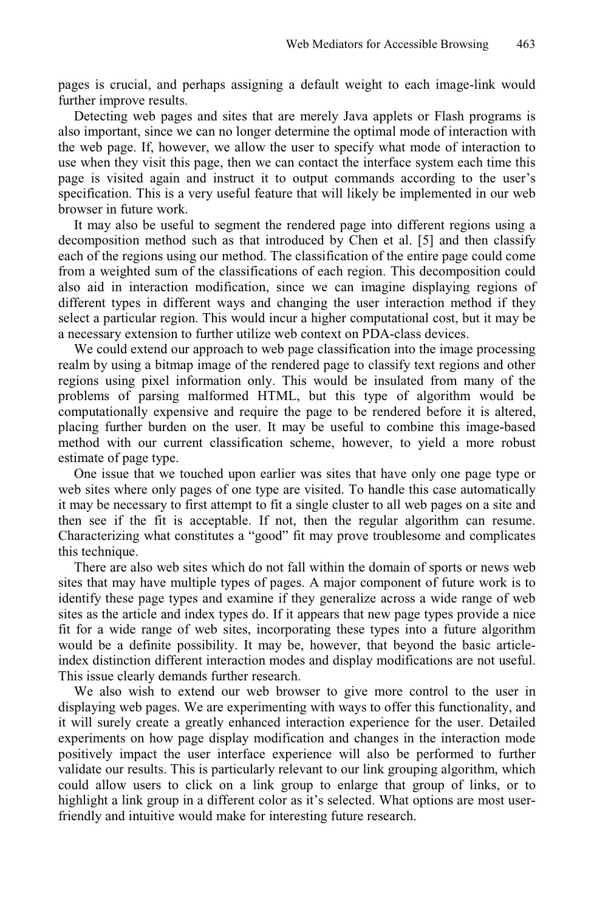pages is crucial, and perhaps assigning a default weight to each image-link would further improve results.

Detecting web pages and sites that are merely Java applets or Flash programs is also important, since we can no longer determine the optimal mode of interaction with the web page. If, however, we allow the user to specify what mode of interaction to use when they visit this page, then we can contact the interface system each time this page is visited again and instruct it to output commands according to the user's specification. This is a very useful feature that will likely be implemented in our web browser in future work.

It may also be useful to segment the rendered page into different regions using a decomposition method such as that introduced by Chen et al. [5] and then classify each of the regions using our method. The classification of the entire page could come from a weighted sum of the classifications of each region. This decomposition could also aid in interaction modification, since we can imagine displaying regions of different types in different ways and changing the user interaction method if they select a particular region. This would incur a higher computational cost, but it may be a necessary extension to further utilize web context on PDA-class devices.

We could extend our approach to web page classification into the image processing realm by using a bitmap image of the rendered page to classify text regions and other regions using pixel information only. This would be insulated from many of the problems of parsing malformed HTML, but this type of algorithm would be computationally expensive and require the page to be rendered before it is altered, placing further burden on the user. It may be useful to combine this image-based method with our current classification scheme, however, to yield a more robust estimate of page type.

One issue that we touched upon earlier was sites that have only one page type or web sites where only pages of one type are visited. To handle this case automatically it may be necessary to first attempt to fit a single cluster to all web pages on a site and then see if the fit is acceptable. If not, then the regular algorithm can resume. Characterizing what constitutes a "good" fit may prove troublesome and complicates this technique.

There are also web sites which do not fall within the domain of sports or news web sites that may have multiple types of pages. A major component of future work is to identify these page types and examine if they generalize across a wide range of web sites as the article and index types do. If it appears that new page types provide a nice fit for a wide range of web sites, incorporating these types into a future algorithm would be a definite possibility. It may be, however, that beyond the basic articleindex distinction different interaction modes and display modifications are not useful. This issue clearly demands further research.

We also wish to extend our web browser to give more control to the user in displaying web pages. We are experimenting with ways to offer this functionality, and it will surely create a greatly enhanced interaction experience for the user. Detailed experiments on how page display modification and changes in the interaction mode positively impact the user interface experience will also be performed to further validate our results. This is particularly relevant to our link grouping algorithm, which could allow users to click on a link group to enlarge that group of links, or to highlight a link group in a different color as it's selected. What options are most userfriendly and intuitive would make for interesting future research.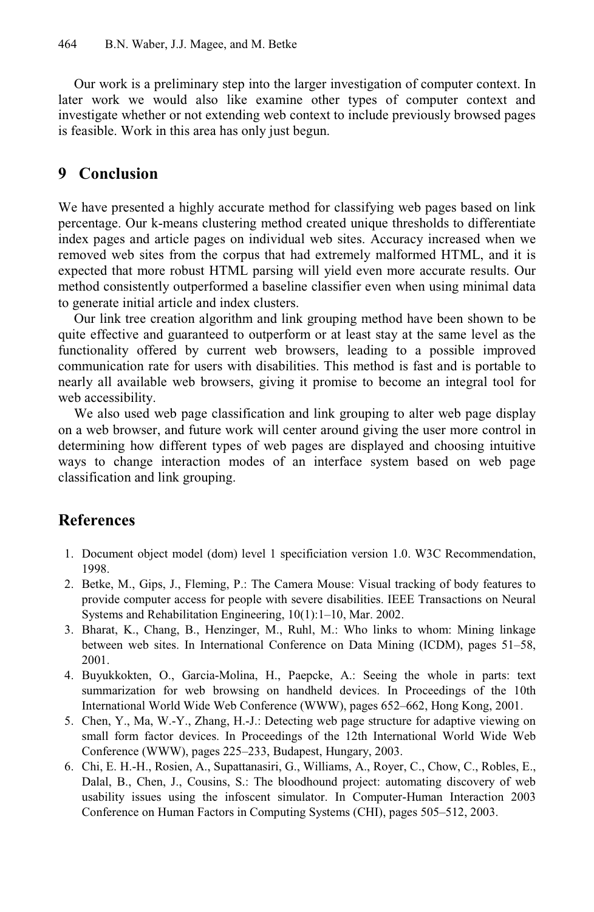Our work is a preliminary step into the larger investigation of computer context. In later work we would also like examine other types of computer context and investigate whether or not extending web context to include previously browsed pages is feasible. Work in this area has only just begun.

# **9 Conclusion**

We have presented a highly accurate method for classifying web pages based on link percentage. Our k-means clustering method created unique thresholds to differentiate index pages and article pages on individual web sites. Accuracy increased when we removed web sites from the corpus that had extremely malformed HTML, and it is expected that more robust HTML parsing will yield even more accurate results. Our method consistently outperformed a baseline classifier even when using minimal data to generate initial article and index clusters.

Our link tree creation algorithm and link grouping method have been shown to be quite effective and guaranteed to outperform or at least stay at the same level as the functionality offered by current web browsers, leading to a possible improved communication rate for users with disabilities. This method is fast and is portable to nearly all available web browsers, giving it promise to become an integral tool for web accessibility.

We also used web page classification and link grouping to alter web page display on a web browser, and future work will center around giving the user more control in determining how different types of web pages are displayed and choosing intuitive ways to change interaction modes of an interface system based on web page classification and link grouping.

# **References**

- 1. Document object model (dom) level 1 specificiation version 1.0. W3C Recommendation, 1998.
- 2. Betke, M., Gips, J., Fleming, P.: The Camera Mouse: Visual tracking of body features to provide computer access for people with severe disabilities. IEEE Transactions on Neural Systems and Rehabilitation Engineering, 10(1):1–10, Mar. 2002.
- 3. Bharat, K., Chang, B., Henzinger, M., Ruhl, M.: Who links to whom: Mining linkage between web sites. In International Conference on Data Mining (ICDM), pages 51–58, 2001.
- 4. Buyukkokten, O., Garcia-Molina, H., Paepcke, A.: Seeing the whole in parts: text summarization for web browsing on handheld devices. In Proceedings of the 10th International World Wide Web Conference (WWW), pages 652–662, Hong Kong, 2001.
- 5. Chen, Y., Ma, W.-Y., Zhang, H.-J.: Detecting web page structure for adaptive viewing on small form factor devices. In Proceedings of the 12th International World Wide Web Conference (WWW), pages 225–233, Budapest, Hungary, 2003.
- 6. Chi, E. H.-H., Rosien, A., Supattanasiri, G., Williams, A., Royer, C., Chow, C., Robles, E., Dalal, B., Chen, J., Cousins, S.: The bloodhound project: automating discovery of web usability issues using the infoscent simulator. In Computer-Human Interaction 2003 Conference on Human Factors in Computing Systems (CHI), pages 505–512, 2003.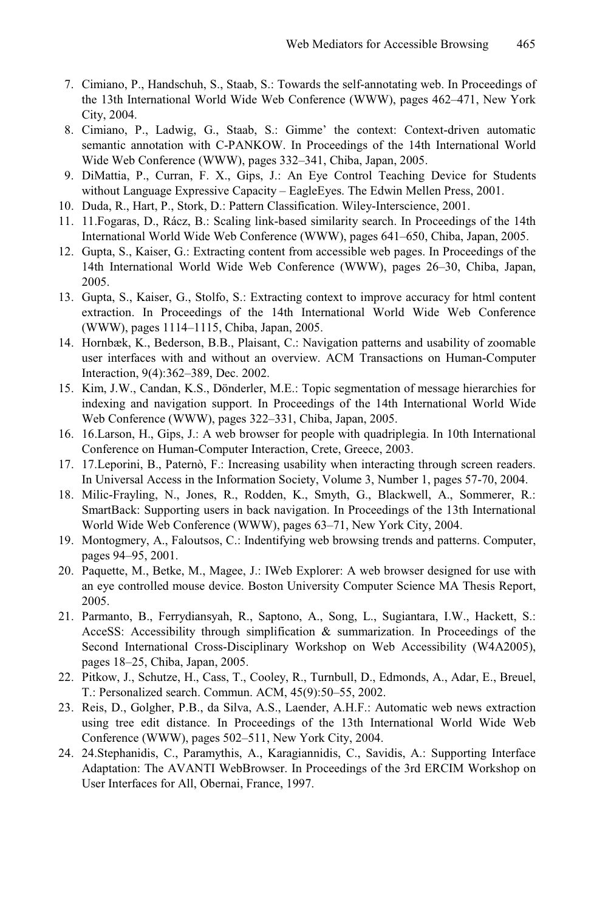- 7. Cimiano, P., Handschuh, S., Staab, S.: Towards the self-annotating web. In Proceedings of the 13th International World Wide Web Conference (WWW), pages 462–471, New York City, 2004.
- 8. Cimiano, P., Ladwig, G., Staab, S.: Gimme' the context: Context-driven automatic semantic annotation with C-PANKOW. In Proceedings of the 14th International World Wide Web Conference (WWW), pages 332–341, Chiba, Japan, 2005.
- 9. DiMattia, P., Curran, F. X., Gips, J.: An Eye Control Teaching Device for Students without Language Expressive Capacity – EagleEyes. The Edwin Mellen Press, 2001.
- 10. Duda, R., Hart, P., Stork, D.: Pattern Classification. Wiley-Interscience, 2001.
- 11. 11.Fogaras, D., Rácz, B.: Scaling link-based similarity search. In Proceedings of the 14th International World Wide Web Conference (WWW), pages 641–650, Chiba, Japan, 2005.
- 12. Gupta, S., Kaiser, G.: Extracting content from accessible web pages. In Proceedings of the 14th International World Wide Web Conference (WWW), pages 26–30, Chiba, Japan, 2005.
- 13. Gupta, S., Kaiser, G., Stolfo, S.: Extracting context to improve accuracy for html content extraction. In Proceedings of the 14th International World Wide Web Conference (WWW), pages 1114–1115, Chiba, Japan, 2005.
- 14. Hornbæk, K., Bederson, B.B., Plaisant, C.: Navigation patterns and usability of zoomable user interfaces with and without an overview. ACM Transactions on Human-Computer Interaction, 9(4):362–389, Dec. 2002.
- 15. Kim, J.W., Candan, K.S., Dönderler, M.E.: Topic segmentation of message hierarchies for indexing and navigation support. In Proceedings of the 14th International World Wide Web Conference (WWW), pages 322–331, Chiba, Japan, 2005.
- 16. 16.Larson, H., Gips, J.: A web browser for people with quadriplegia. In 10th International Conference on Human-Computer Interaction, Crete, Greece, 2003.
- 17. 17.Leporini, B., Paternò, F.: Increasing usability when interacting through screen readers. In Universal Access in the Information Society, Volume 3, Number 1, pages 57-70, 2004.
- 18. Milic-Frayling, N., Jones, R., Rodden, K., Smyth, G., Blackwell, A., Sommerer, R.: SmartBack: Supporting users in back navigation. In Proceedings of the 13th International World Wide Web Conference (WWW), pages 63–71, New York City, 2004.
- 19. Montogmery, A., Faloutsos, C.: Indentifying web browsing trends and patterns. Computer, pages 94–95, 2001.
- 20. Paquette, M., Betke, M., Magee, J.: IWeb Explorer: A web browser designed for use with an eye controlled mouse device. Boston University Computer Science MA Thesis Report, 2005.
- 21. Parmanto, B., Ferrydiansyah, R., Saptono, A., Song, L., Sugiantara, I.W., Hackett, S.: AcceSS: Accessibility through simplification & summarization. In Proceedings of the Second International Cross-Disciplinary Workshop on Web Accessibility (W4A2005), pages 18–25, Chiba, Japan, 2005.
- 22. Pitkow, J., Schutze, H., Cass, T., Cooley, R., Turnbull, D., Edmonds, A., Adar, E., Breuel, T.: Personalized search. Commun. ACM, 45(9):50–55, 2002.
- 23. Reis, D., Golgher, P.B., da Silva, A.S., Laender, A.H.F.: Automatic web news extraction using tree edit distance. In Proceedings of the 13th International World Wide Web Conference (WWW), pages 502–511, New York City, 2004.
- 24. 24.Stephanidis, C., Paramythis, A., Karagiannidis, C., Savidis, A.: Supporting Interface Adaptation: The AVANTI WebBrowser. In Proceedings of the 3rd ERCIM Workshop on User Interfaces for All, Obernai, France, 1997.